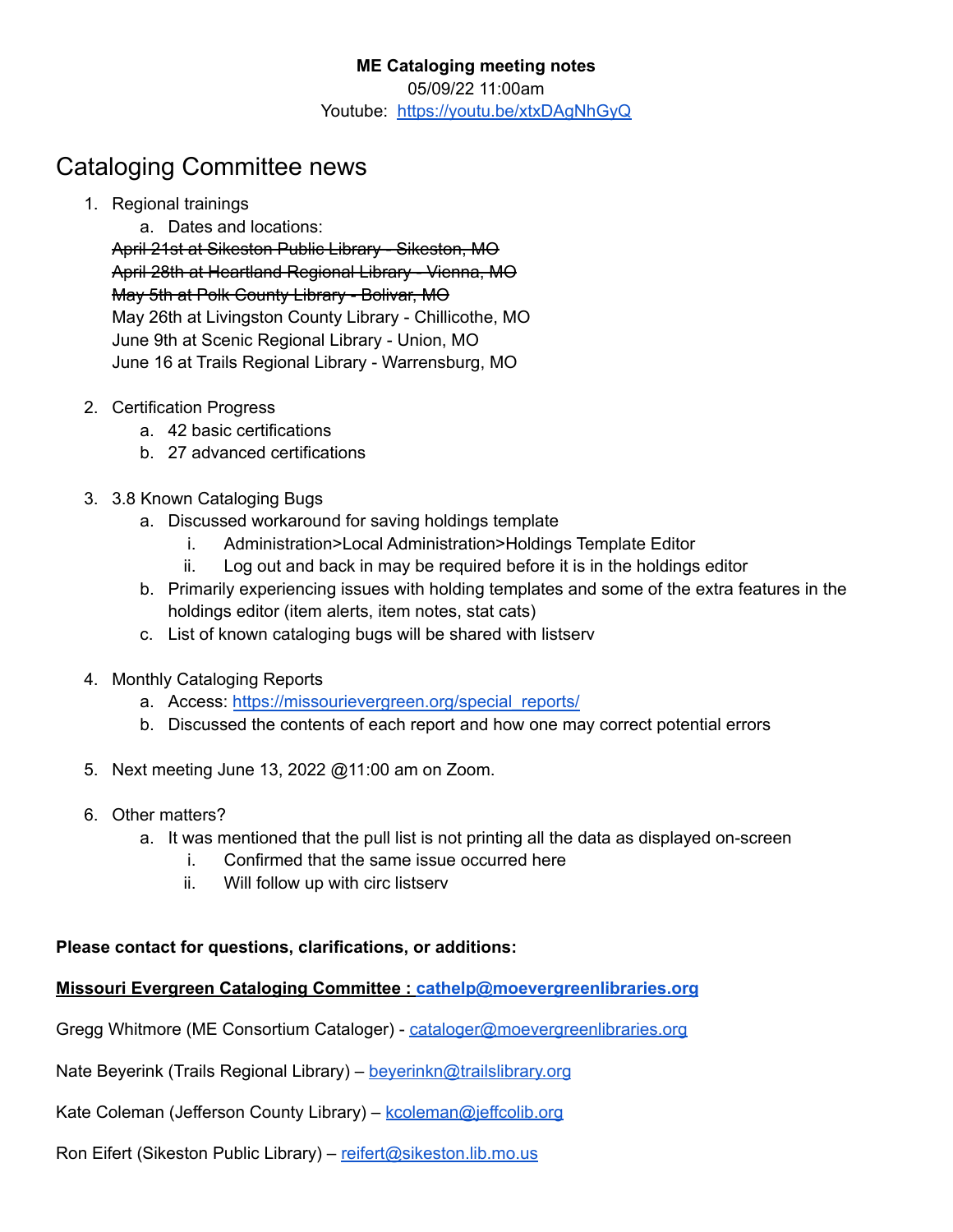## Cataloging Committee news

1. Regional trainings

a. Dates and locations: April 21st at Sikeston Public Library - Sikeston, MO April 28th at Heartland Regional Library - Vienna, MO May 5th at Polk County Library - Bolivar, MO May 26th at Livingston County Library - Chillicothe, MO June 9th at Scenic Regional Library - Union, MO June 16 at Trails Regional Library - Warrensburg, MO

- 2. Certification Progress
	- a. 42 basic certifications
	- b. 27 advanced certifications
- 3. 3.8 Known Cataloging Bugs
	- a. Discussed workaround for saving holdings template
		- i. Administration>Local Administration>Holdings Template Editor
		- ii. Log out and back in may be required before it is in the holdings editor
	- b. Primarily experiencing issues with holding templates and some of the extra features in the holdings editor (item alerts, item notes, stat cats)
	- c. List of known cataloging bugs will be shared with listserv
- 4. Monthly Cataloging Reports
	- a. Access: [https://missourievergreen.org/special\\_reports/](https://missourievergreen.org/special_reports/)
	- b. Discussed the contents of each report and how one may correct potential errors
- 5. Next meeting June 13, 2022 @11:00 am on Zoom.
- 6. Other matters?
	- a. It was mentioned that the pull list is not printing all the data as displayed on-screen
		- i. Confirmed that the same issue occurred here
		- ii. Will follow up with circ listserv

## **Please contact for questions, clarifications, or additions:**

## **Missouri Evergreen Cataloging Committee : [cathelp@moevergreenlibraries.org](mailto:cathelp@moevergreenlibraries.org)**

Gregg Whitmore (ME Consortium Cataloger) - [cataloger@moevergreenlibraries.org](mailto:cataloger@moevergreenlibraries.org)

Nate Beyerink (Trails Regional Library) – [beyerinkn@trailslibrary.org](mailto:beyerinkn@trailslibrary.org)

Kate Coleman (Jefferson County Library) – kcoleman@ieffcolib.org

Ron Eifert (Sikeston Public Library) – [reifert@sikeston.lib.mo.us](mailto:reifert@sikeston.lib.mo.us)